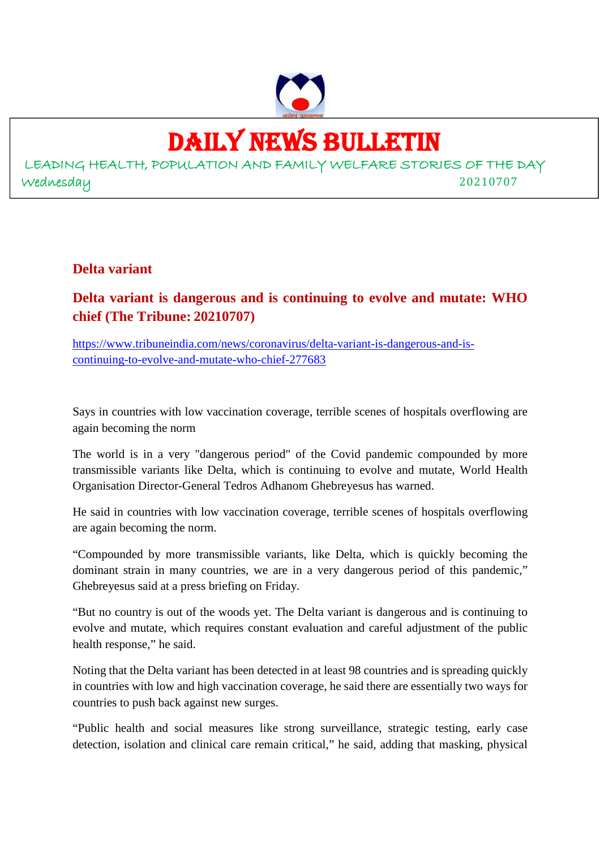

# DAILY NEWS BULLETIN

LEADING HEALTH, POPULATION AND FAMILY WELFARE STORIES OF THE DAY Wednesday 20210707

**Delta variant**

**Delta variant is dangerous and is continuing to evolve and mutate: WHO chief (The Tribune: 20210707)**

https://www.tribuneindia.com/news/coronavirus/delta-variant-is-dangerous-and-iscontinuing-to-evolve-and-mutate-who-chief-277683

Says in countries with low vaccination coverage, terrible scenes of hospitals overflowing are again becoming the norm

The world is in a very "dangerous period" of the Covid pandemic compounded by more transmissible variants like Delta, which is continuing to evolve and mutate, World Health Organisation Director-General Tedros Adhanom Ghebreyesus has warned.

He said in countries with low vaccination coverage, terrible scenes of hospitals overflowing are again becoming the norm.

"Compounded by more transmissible variants, like Delta, which is quickly becoming the dominant strain in many countries, we are in a very dangerous period of this pandemic," Ghebreyesus said at a press briefing on Friday.

"But no country is out of the woods yet. The Delta variant is dangerous and is continuing to evolve and mutate, which requires constant evaluation and careful adjustment of the public health response," he said.

Noting that the Delta variant has been detected in at least 98 countries and is spreading quickly in countries with low and high vaccination coverage, he said there are essentially two ways for countries to push back against new surges.

"Public health and social measures like strong surveillance, strategic testing, early case detection, isolation and clinical care remain critical," he said, adding that masking, physical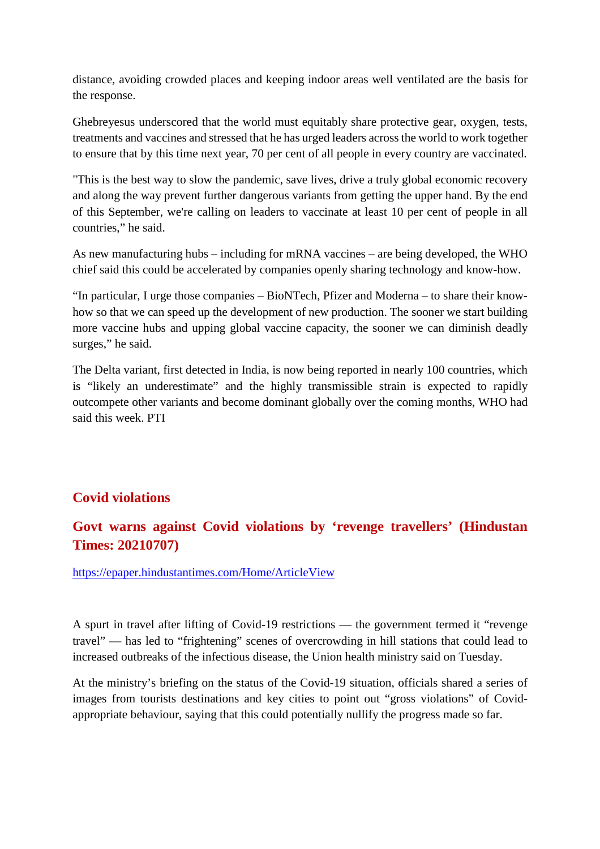distance, avoiding crowded places and keeping indoor areas well ventilated are the basis for the response.

Ghebreyesus underscored that the world must equitably share protective gear, oxygen, tests, treatments and vaccines and stressed that he has urged leaders across the world to work together to ensure that by this time next year, 70 per cent of all people in every country are vaccinated.

"This is the best way to slow the pandemic, save lives, drive a truly global economic recovery and along the way prevent further dangerous variants from getting the upper hand. By the end of this September, we're calling on leaders to vaccinate at least 10 per cent of people in all countries," he said.

As new manufacturing hubs – including for mRNA vaccines – are being developed, the WHO chief said this could be accelerated by companies openly sharing technology and know-how.

"In particular, I urge those companies – BioNTech, Pfizer and Moderna – to share their knowhow so that we can speed up the development of new production. The sooner we start building more vaccine hubs and upping global vaccine capacity, the sooner we can diminish deadly surges," he said.

The Delta variant, first detected in India, is now being reported in nearly 100 countries, which is "likely an underestimate" and the highly transmissible strain is expected to rapidly outcompete other variants and become dominant globally over the coming months, WHO had said this week. PTI

#### **Covid violations**

# **Govt warns against Covid violations by 'revenge travellers' (Hindustan Times: 20210707)**

https://epaper.hindustantimes.com/Home/ArticleView

A spurt in travel after lifting of Covid-19 restrictions — the government termed it "revenge travel" — has led to "frightening" scenes of overcrowding in hill stations that could lead to increased outbreaks of the infectious disease, the Union health ministry said on Tuesday.

At the ministry's briefing on the status of the Covid-19 situation, officials shared a series of images from tourists destinations and key cities to point out "gross violations" of Covidappropriate behaviour, saying that this could potentially nullify the progress made so far.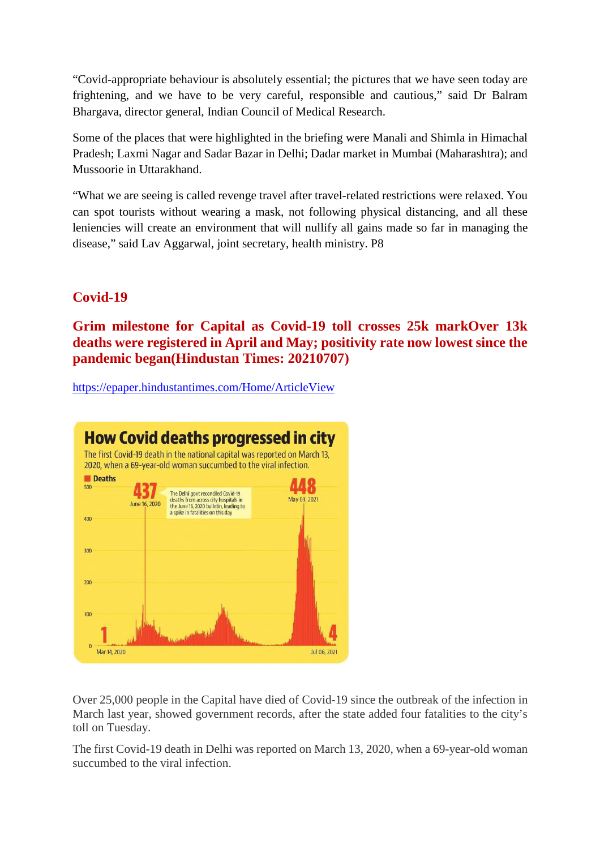"Covid-appropriate behaviour is absolutely essential; the pictures that we have seen today are frightening, and we have to be very careful, responsible and cautious," said Dr Balram Bhargava, director general, Indian Council of Medical Research.

Some of the places that were highlighted in the briefing were Manali and Shimla in Himachal Pradesh; Laxmi Nagar and Sadar Bazar in Delhi; Dadar market in Mumbai (Maharashtra); and Mussoorie in Uttarakhand.

"What we are seeing is called revenge travel after travel-related restrictions were relaxed. You can spot tourists without wearing a mask, not following physical distancing, and all these leniencies will create an environment that will nullify all gains made so far in managing the disease," said Lav Aggarwal, joint secretary, health ministry. P8

### **Covid-19**

**Grim milestone for Capital as Covid-19 toll crosses 25k markOver 13k deaths were registered in April and May; positivity rate now lowest since the pandemic began(Hindustan Times: 20210707)**

https://epaper.hindustantimes.com/Home/ArticleView



Over 25,000 people in the Capital have died of Covid-19 since the outbreak of the infection in March last year, showed government records, after the state added four fatalities to the city's toll on Tuesday.

The first Covid-19 death in Delhi was reported on March 13, 2020, when a 69-year-old woman succumbed to the viral infection.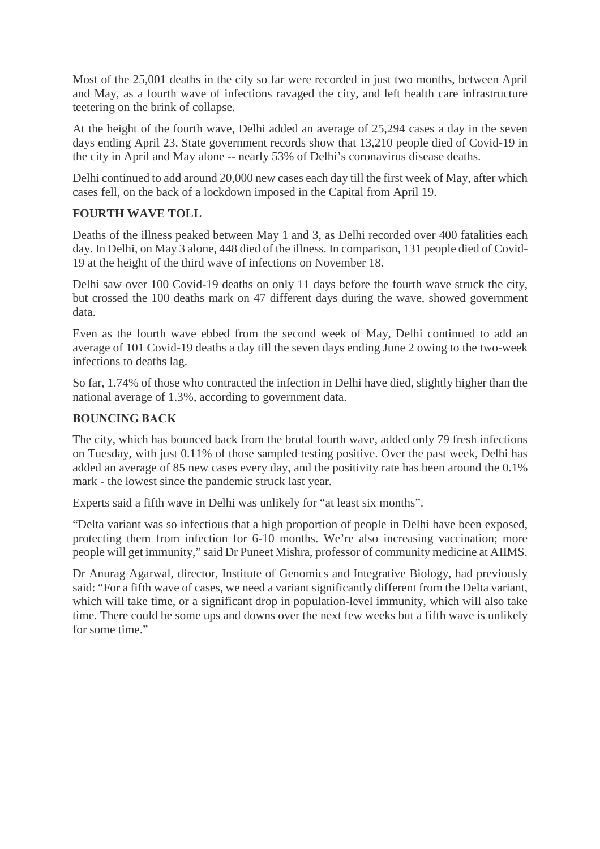Most of the 25,001 deaths in the city so far were recorded in just two months, between April and May, as a fourth wave of infections ravaged the city, and left health care infrastructure teetering on the brink of collapse.

At the height of the fourth wave, Delhi added an average of 25,294 cases a day in the seven days ending April 23. State government records show that 13,210 people died of Covid-19 in the city in April and May alone -- nearly 53% of Delhi's coronavirus disease deaths.

Delhi continued to add around 20,000 new cases each day till the first week of May, after which cases fell, on the back of a lockdown imposed in the Capital from April 19.

#### **FOURTH WAVE TOLL**

Deaths of the illness peaked between May 1 and 3, as Delhi recorded over 400 fatalities each day. In Delhi, on May 3 alone, 448 died of the illness. In comparison, 131 people died of Covid-19 at the height of the third wave of infections on November 18.

Delhi saw over 100 Covid-19 deaths on only 11 days before the fourth wave struck the city, but crossed the 100 deaths mark on 47 different days during the wave, showed government data.

Even as the fourth wave ebbed from the second week of May, Delhi continued to add an average of 101 Covid-19 deaths a day till the seven days ending June 2 owing to the two-week infections to deaths lag.

So far, 1.74% of those who contracted the infection in Delhi have died, slightly higher than the national average of 1.3%, according to government data.

#### **BOUNCING BACK**

The city, which has bounced back from the brutal fourth wave, added only 79 fresh infections on Tuesday, with just 0.11% of those sampled testing positive. Over the past week, Delhi has added an average of 85 new cases every day, and the positivity rate has been around the 0.1% mark - the lowest since the pandemic struck last year.

Experts said a fifth wave in Delhi was unlikely for "at least six months".

"Delta variant was so infectious that a high proportion of people in Delhi have been exposed, protecting them from infection for 6-10 months. We're also increasing vaccination; more people will get immunity," said Dr Puneet Mishra, professor of community medicine at AIIMS.

Dr Anurag Agarwal, director, Institute of Genomics and Integrative Biology, had previously said: "For a fifth wave of cases, we need a variant significantly different from the Delta variant, which will take time, or a significant drop in population-level immunity, which will also take time. There could be some ups and downs over the next few weeks but a fifth wave is unlikely for some time."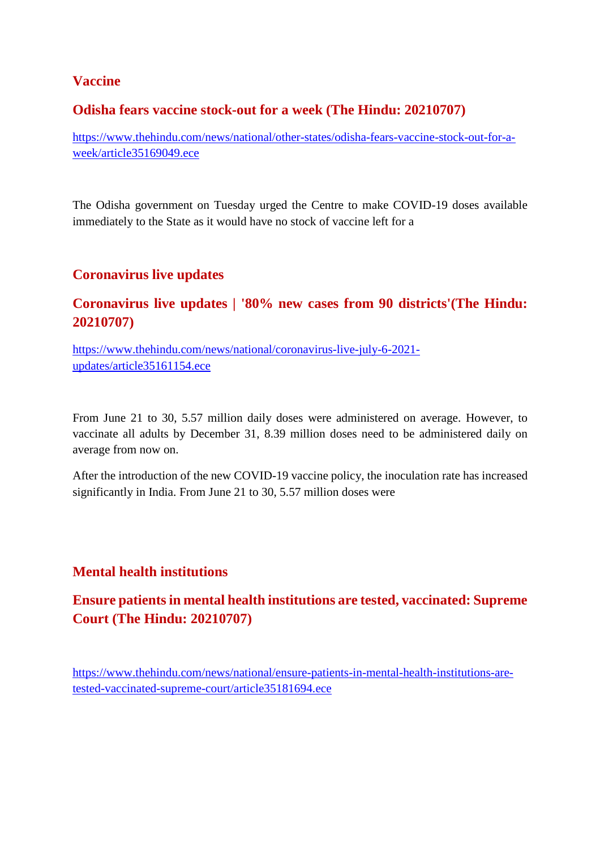#### **Vaccine**

#### **Odisha fears vaccine stock-out for a week (The Hindu: 20210707)**

https://www.thehindu.com/news/national/other-states/odisha-fears-vaccine-stock-out-for-aweek/article35169049.ece

The Odisha government on Tuesday urged the Centre to make COVID-19 doses available immediately to the State as it would have no stock of vaccine left for a

#### **Coronavirus live updates**

### **Coronavirus live updates | '80% new cases from 90 districts'(The Hindu: 20210707)**

https://www.thehindu.com/news/national/coronavirus-live-july-6-2021 updates/article35161154.ece

From June 21 to 30, 5.57 million daily doses were administered on average. However, to vaccinate all adults by December 31, 8.39 million doses need to be administered daily on average from now on.

After the introduction of the new COVID-19 vaccine policy, the inoculation rate has increased significantly in India. From June 21 to 30, 5.57 million doses were

#### **Mental health institutions**

## **Ensure patients in mental health institutions are tested, vaccinated: Supreme Court (The Hindu: 20210707)**

https://www.thehindu.com/news/national/ensure-patients-in-mental-health-institutions-aretested-vaccinated-supreme-court/article35181694.ece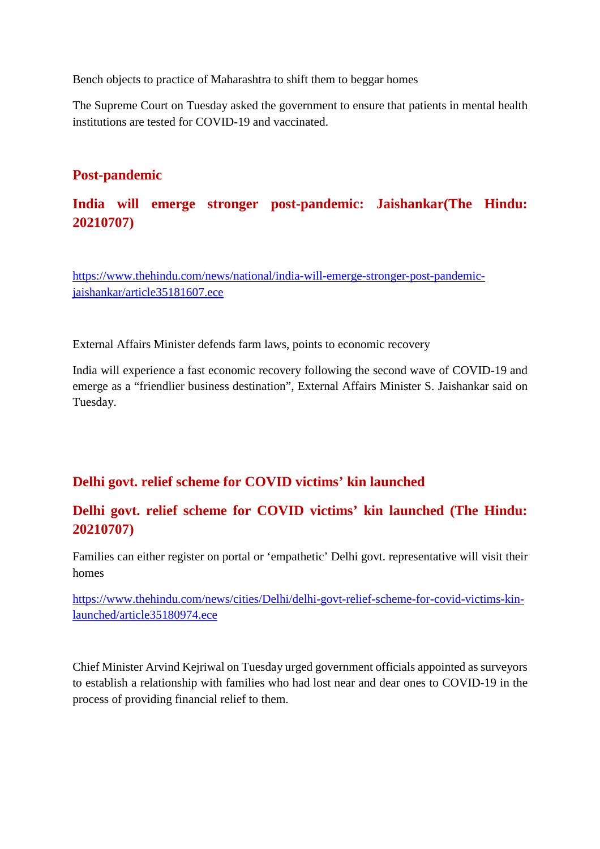Bench objects to practice of Maharashtra to shift them to beggar homes

The Supreme Court on Tuesday asked the government to ensure that patients in mental health institutions are tested for COVID-19 and vaccinated.

### **Post-pandemic**

# **India will emerge stronger post-pandemic: Jaishankar(The Hindu: 20210707)**

https://www.thehindu.com/news/national/india-will-emerge-stronger-post-pandemicjaishankar/article35181607.ece

External Affairs Minister defends farm laws, points to economic recovery

India will experience a fast economic recovery following the second wave of COVID-19 and emerge as a "friendlier business destination", External Affairs Minister S. Jaishankar said on Tuesday.

## **Delhi govt. relief scheme for COVID victims' kin launched**

## **Delhi govt. relief scheme for COVID victims' kin launched (The Hindu: 20210707)**

Families can either register on portal or 'empathetic' Delhi govt. representative will visit their homes

https://www.thehindu.com/news/cities/Delhi/delhi-govt-relief-scheme-for-covid-victims-kinlaunched/article35180974.ece

Chief Minister Arvind Kejriwal on Tuesday urged government officials appointed as surveyors to establish a relationship with families who had lost near and dear ones to COVID-19 in the process of providing financial relief to them.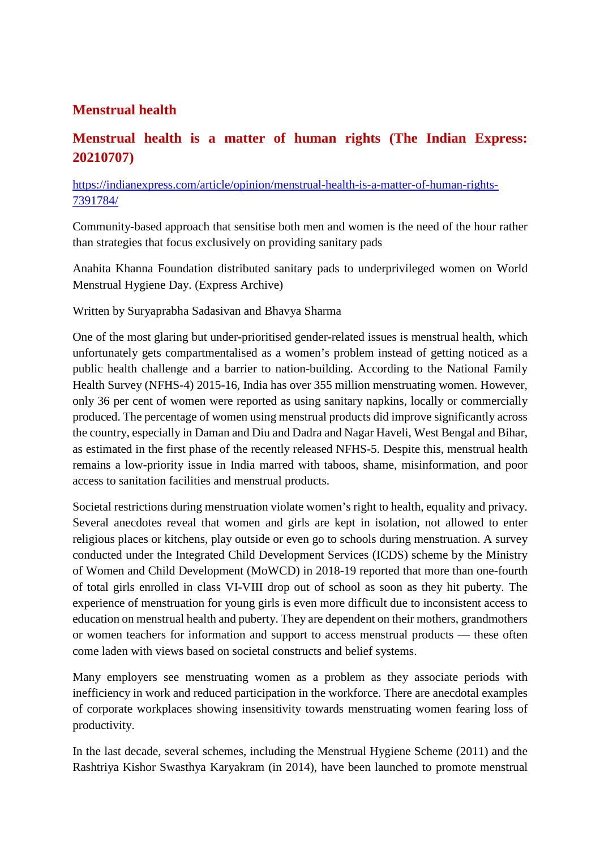## **Menstrual health**

# **Menstrual health is a matter of human rights (The Indian Express: 20210707)**

#### https://indianexpress.com/article/opinion/menstrual-health-is-a-matter-of-human-rights-7391784/

Community-based approach that sensitise both men and women is the need of the hour rather than strategies that focus exclusively on providing sanitary pads

Anahita Khanna Foundation distributed sanitary pads to underprivileged women on World Menstrual Hygiene Day. (Express Archive)

Written by Suryaprabha Sadasivan and Bhavya Sharma

One of the most glaring but under-prioritised gender-related issues is menstrual health, which unfortunately gets compartmentalised as a women's problem instead of getting noticed as a public health challenge and a barrier to nation-building. According to the National Family Health Survey (NFHS-4) 2015-16, India has over 355 million menstruating women. However, only 36 per cent of women were reported as using sanitary napkins, locally or commercially produced. The percentage of women using menstrual products did improve significantly across the country, especially in Daman and Diu and Dadra and Nagar Haveli, West Bengal and Bihar, as estimated in the first phase of the recently released NFHS-5. Despite this, menstrual health remains a low-priority issue in India marred with taboos, shame, misinformation, and poor access to sanitation facilities and menstrual products.

Societal restrictions during menstruation violate women's right to health, equality and privacy. Several anecdotes reveal that women and girls are kept in isolation, not allowed to enter religious places or kitchens, play outside or even go to schools during menstruation. A survey conducted under the Integrated Child Development Services (ICDS) scheme by the Ministry of Women and Child Development (MoWCD) in 2018-19 reported that more than one-fourth of total girls enrolled in class VI-VIII drop out of school as soon as they hit puberty. The experience of menstruation for young girls is even more difficult due to inconsistent access to education on menstrual health and puberty. They are dependent on their mothers, grandmothers or women teachers for information and support to access menstrual products — these often come laden with views based on societal constructs and belief systems.

Many employers see menstruating women as a problem as they associate periods with inefficiency in work and reduced participation in the workforce. There are anecdotal examples of corporate workplaces showing insensitivity towards menstruating women fearing loss of productivity.

In the last decade, several schemes, including the Menstrual Hygiene Scheme (2011) and the Rashtriya Kishor Swasthya Karyakram (in 2014), have been launched to promote menstrual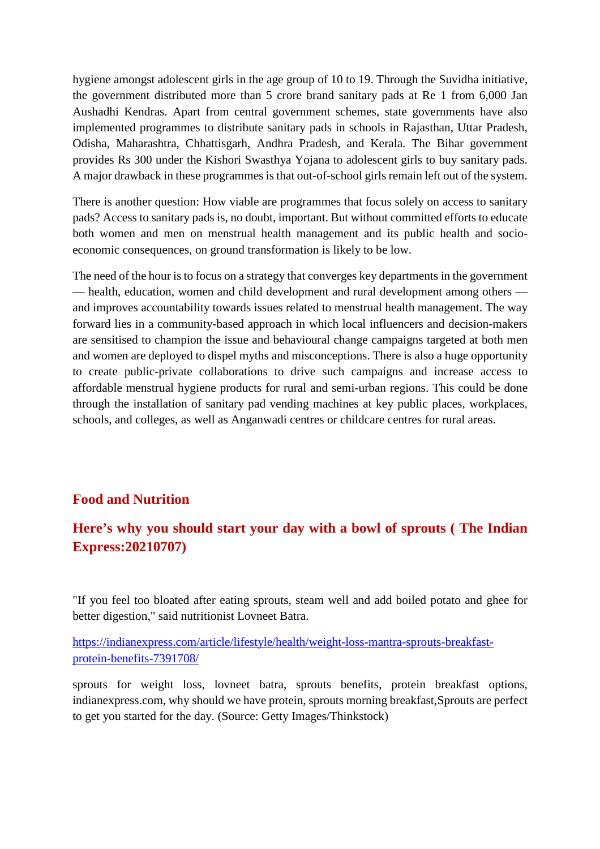hygiene amongst adolescent girls in the age group of 10 to 19. Through the Suvidha initiative, the government distributed more than 5 crore brand sanitary pads at Re 1 from 6,000 Jan Aushadhi Kendras. Apart from central government schemes, state governments have also implemented programmes to distribute sanitary pads in schools in Rajasthan, Uttar Pradesh, Odisha, Maharashtra, Chhattisgarh, Andhra Pradesh, and Kerala. The Bihar government provides Rs 300 under the Kishori Swasthya Yojana to adolescent girls to buy sanitary pads. A major drawback in these programmes is that out-of-school girls remain left out of the system.

There is another question: How viable are programmes that focus solely on access to sanitary pads? Access to sanitary pads is, no doubt, important. But without committed efforts to educate both women and men on menstrual health management and its public health and socioeconomic consequences, on ground transformation is likely to be low.

The need of the hour is to focus on a strategy that converges key departments in the government — health, education, women and child development and rural development among others and improves accountability towards issues related to menstrual health management. The way forward lies in a community-based approach in which local influencers and decision-makers are sensitised to champion the issue and behavioural change campaigns targeted at both men and women are deployed to dispel myths and misconceptions. There is also a huge opportunity to create public-private collaborations to drive such campaigns and increase access to affordable menstrual hygiene products for rural and semi-urban regions. This could be done through the installation of sanitary pad vending machines at key public places, workplaces, schools, and colleges, as well as Anganwadi centres or childcare centres for rural areas.

#### **Food and Nutrition**

## **Here's why you should start your day with a bowl of sprouts ( The Indian Express:20210707)**

"If you feel too bloated after eating sprouts, steam well and add boiled potato and ghee for better digestion," said nutritionist Lovneet Batra.

https://indianexpress.com/article/lifestyle/health/weight-loss-mantra-sprouts-breakfastprotein-benefits-7391708/

sprouts for weight loss, lovneet batra, sprouts benefits, protein breakfast options, indianexpress.com, why should we have protein, sprouts morning breakfast,Sprouts are perfect to get you started for the day. (Source: Getty Images/Thinkstock)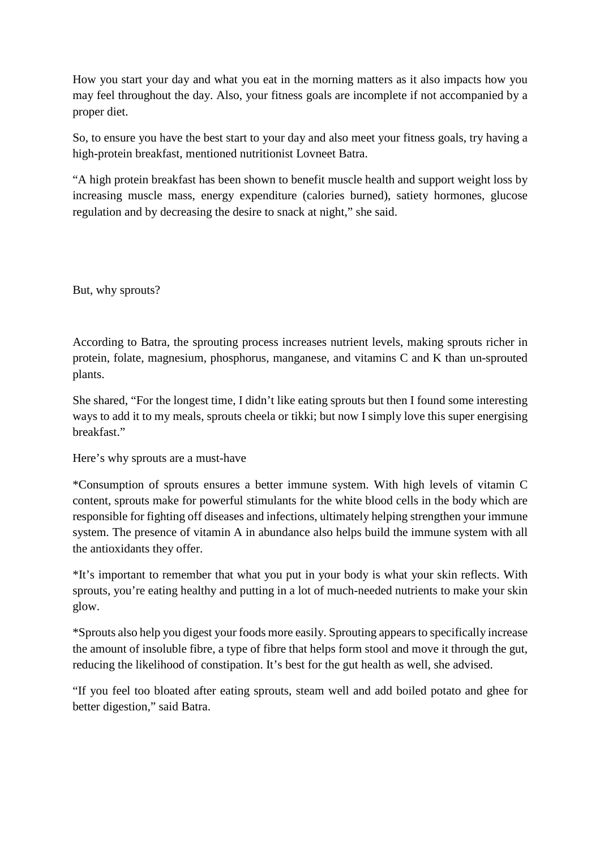How you start your day and what you eat in the morning matters as it also impacts how you may feel throughout the day. Also, your fitness goals are incomplete if not accompanied by a proper diet.

So, to ensure you have the best start to your day and also meet your fitness goals, try having a high-protein breakfast, mentioned nutritionist Lovneet Batra.

"A high protein breakfast has been shown to benefit muscle health and support weight loss by increasing muscle mass, energy expenditure (calories burned), satiety hormones, glucose regulation and by decreasing the desire to snack at night," she said.

But, why sprouts?

According to Batra, the sprouting process increases nutrient levels, making sprouts richer in protein, folate, magnesium, phosphorus, manganese, and vitamins C and K than un-sprouted plants.

She shared, "For the longest time, I didn't like eating sprouts but then I found some interesting ways to add it to my meals, sprouts cheela or tikki; but now I simply love this super energising breakfast."

Here's why sprouts are a must-have

\*Consumption of sprouts ensures a better immune system. With high levels of vitamin C content, sprouts make for powerful stimulants for the white blood cells in the body which are responsible for fighting off diseases and infections, ultimately helping strengthen your immune system. The presence of vitamin A in abundance also helps build the immune system with all the antioxidants they offer.

\*It's important to remember that what you put in your body is what your skin reflects. With sprouts, you're eating healthy and putting in a lot of much-needed nutrients to make your skin glow.

\*Sprouts also help you digest your foods more easily. Sprouting appears to specifically increase the amount of insoluble fibre, a type of fibre that helps form stool and move it through the gut, reducing the likelihood of constipation. It's best for the gut health as well, she advised.

"If you feel too bloated after eating sprouts, steam well and add boiled potato and ghee for better digestion," said Batra.